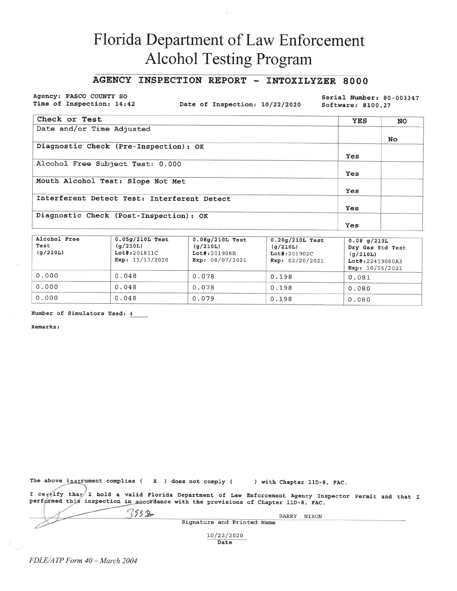## AGENCY INSPECTION REPORT - INTOXILYZER 8000

Agency: PASCO COUNTY SO Time of Inspection: 14:42

Date of Inspection: 10/22/2020

Serial Number: 80-003347 Software: 8100.27

| Check or Test                               | <b>YES</b> | <b>NO</b> |
|---------------------------------------------|------------|-----------|
| Date and/or Time Adjusted                   |            |           |
|                                             |            | No.       |
| Diagnostic Check (Pre-Inspection): OK       |            |           |
|                                             | Yes        |           |
| Alcohol Free Subject Test: 0.000            |            |           |
|                                             | Yes        |           |
| Mouth Alcohol Test: Slope Not Met           |            |           |
|                                             | <b>Yes</b> |           |
| Interferent Detect Test: Interferent Detect |            |           |
|                                             | Yes        |           |
| Diagnostic Check (Post-Inspection): OK      |            |           |
|                                             | Yes        |           |

| Alcohol Free<br>Test<br>(q/210L) | $0.05g/210L$ Test<br>(q/210L)<br>Lot#:201811C<br>Exp: $11/13/2020$ | $0.08q/210L$ Test<br>(q/210L)<br>Lot#:201908B<br>Exp: $08/07/2021$ | $0.20q/210L$ Test<br>(g/210L)<br>$Lot$ #: 201902C<br>Exp: $02/20/2021$ | $0.08$ q/210L<br>Dry Gas Std Test<br>(q/210L)<br>Lot#:22419080A3<br>Exp: $10/05/2021$ |
|----------------------------------|--------------------------------------------------------------------|--------------------------------------------------------------------|------------------------------------------------------------------------|---------------------------------------------------------------------------------------|
| 0.000                            | 0.048                                                              | 0.078                                                              | 0.198                                                                  | 0.081                                                                                 |
| 0.000                            | 0.048                                                              | 0.078                                                              | 0.198                                                                  | 0.080                                                                                 |
| 0.000                            | 0.048                                                              | 0.079                                                              | 0.198                                                                  | 0.080                                                                                 |

Number of Simulators Used: 4

Remarks:

The above instrument complies ( $X$ ) does not comply ( ) with Chapter 11D-8, FAC.

 $7532$ 

I certify that I hold a valid Florida Department of Law Enforcement Agency Inspector Permit and that I performed this inspection in accordance with the provisions of Chapter 11D-8, FAC.

| <b>Service</b> |
|----------------|
|                |
|                |
|                |
|                |

Signature and Printed Name

BARRY NIXON

10/22/2020 Date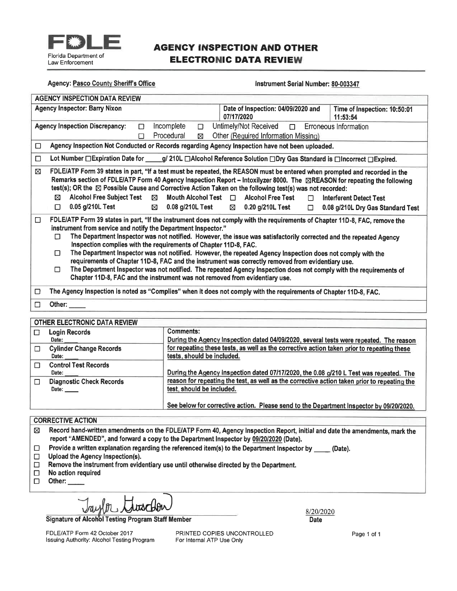

## **AGENCY INSPECTION AND OTHER ELECTRONIC DATA REVIEW**

### **Agency: Pasco County Sheriff's Office**

### Instrument Serial Number: 80-003347

| <b>AGENCY INSPECTION DATA REVIEW</b>                                                                                                                  |                                                                                                                                                                                                                                                                                                                                                                                                                                                                                                                                                                                                                                                                            |                              |  |  |  |
|-------------------------------------------------------------------------------------------------------------------------------------------------------|----------------------------------------------------------------------------------------------------------------------------------------------------------------------------------------------------------------------------------------------------------------------------------------------------------------------------------------------------------------------------------------------------------------------------------------------------------------------------------------------------------------------------------------------------------------------------------------------------------------------------------------------------------------------------|------------------------------|--|--|--|
| <b>Agency Inspector: Barry Nixon</b>                                                                                                                  | Date of Inspection: 04/09/2020 and<br>07/17/2020<br>11:53:54                                                                                                                                                                                                                                                                                                                                                                                                                                                                                                                                                                                                               | Time of Inspection: 10:50:01 |  |  |  |
| Incomplete<br><b>Agency Inspection Discrepancy:</b><br>П                                                                                              | Untimely/Not Received <b>D</b> Erroneous Information<br>$\Box$                                                                                                                                                                                                                                                                                                                                                                                                                                                                                                                                                                                                             |                              |  |  |  |
| Procedural<br>П                                                                                                                                       | Other (Required Information Missing)<br>⊠                                                                                                                                                                                                                                                                                                                                                                                                                                                                                                                                                                                                                                  |                              |  |  |  |
| □                                                                                                                                                     | Agency Inspection Not Conducted or Records regarding Agency Inspection have not been uploaded.                                                                                                                                                                                                                                                                                                                                                                                                                                                                                                                                                                             |                              |  |  |  |
| $\Box$                                                                                                                                                | Lot Number □ Expiration Date for ____g/ 210L □ Alcohol Reference Solution □ Dry Gas Standard is □ Incorrect □ Expired.                                                                                                                                                                                                                                                                                                                                                                                                                                                                                                                                                     |                              |  |  |  |
| ⊠<br><b>Alcohol Free Subject Test</b><br>⊠<br>⊠<br>0.05 g/210L Test<br>п<br>$\boxtimes$                                                               | FDLE/ATP Form 39 states in part, "If a test must be repeated, the REASON must be entered when prompted and recorded in the<br>Remarks section of FDLE/ATP Form 40 Agency Inspection Report – Intoxilyzer 8000. The ⊠REASON for repeating the following<br>test(s); OR the ⊠ Possible Cause and Corrective Action Taken on the following test(s) was not recorded:<br>Mouth Alcohol Test $\Box$<br>Alcohol Free Test<br>Interferent Detect Test<br>$\Box$<br>0.08 g/210L Test $\boxtimes$ 0.20 g/210L Test<br>0.08 g/210L Dry Gas Standard Test<br>$\Box$                                                                                                                   |                              |  |  |  |
| □<br>instrument from service and notify the Department Inspector."<br>п<br>Inspection complies with the requirements of Chapter 11D-8, FAC.<br>п<br>П | FDLE/ATP Form 39 states in part, "If the instrument does not comply with the requirements of Chapter 11D-8, FAC, remove the<br>The Department Inspector was not notified. However, the issue was satisfactorily corrected and the repeated Agency<br>The Department Inspector was not notified. However, the repeated Agency Inspection does not comply with the<br>requirements of Chapter 11D-8, FAC and the instrument was correctly removed from evidentiary use.<br>The Department Inspector was not notified. The repeated Agency Inspection does not comply with the requirements of<br>Chapter 11D-8, FAC and the instrument was not removed from evidentiary use. |                              |  |  |  |
| □                                                                                                                                                     | The Agency Inspection is noted as "Complies" when it does not comply with the requirements of Chapter 11D-8, FAC.                                                                                                                                                                                                                                                                                                                                                                                                                                                                                                                                                          |                              |  |  |  |
| Other: $\_\_$<br>п                                                                                                                                    |                                                                                                                                                                                                                                                                                                                                                                                                                                                                                                                                                                                                                                                                            |                              |  |  |  |
|                                                                                                                                                       |                                                                                                                                                                                                                                                                                                                                                                                                                                                                                                                                                                                                                                                                            |                              |  |  |  |

### **OTHER ELECTRONIC DATA REVIEW**

| <u>UIHEN ELEUINUNG DATA NEVIEW</u>                       |                                                                                                                           |
|----------------------------------------------------------|---------------------------------------------------------------------------------------------------------------------------|
| <b>Login Records</b>                                     | Comments:                                                                                                                 |
| Date:                                                    | During the Agency Inspection dated 04/09/2020, several tests were repeated. The reason                                    |
| <b>Cylinder Change Records</b>                           | for repeating these tests, as well as the corrective action taken prior to repeating these                                |
| Date:                                                    | tests, should be included.                                                                                                |
| <b>Control Test Records</b>                              |                                                                                                                           |
| Date:                                                    | During the Agency Inspection dated 07/17/2020, the 0.08 g/210 L Test was repeated. The                                    |
| <b>Diagnostic Check Records</b><br>Date: $\qquad \qquad$ | reason for repeating the test, as well as the corrective action taken prior to repeating the<br>test, should be included. |
|                                                          | See below for corrective action. Please send to the Department Inspector by 09/20/2020.                                   |

### **CORRECTIVE ACTION**

Ø Record hand-written amendments on the FDLE/ATP Form 40, Agency Inspection Report, initial and date the amendments, mark the report "AMENDED", and forward a copy to the Department Inspector by 09/20/2020 (Date).

- Provide a written explanation regarding the referenced item(s) to the Department Inspector by \_\_\_\_\_ (Date).  $\Box$
- $\Box$ Upload the Agency Inspection(s).
- $\Box$ Remove the instrument from evidentiary use until otherwise directed by the Department.
- $\Box$ No action required
- $\Box$ Other:

Signature of Alcohol Testing Program Staff Member

FDLE/ATP Form 42 October 2017 Issuing Authority: Alcohol Testing Program PRINTED COPIES UNCONTROLLED For Internal ATP Use Only

8/20/2020 **Date** 

Page 1 of 1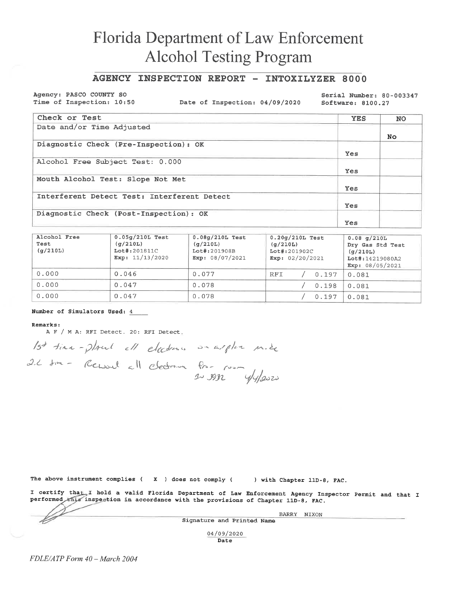## AGENCY INSPECTION REPORT - INTOXILYZER 8000

Agency: PASCO COUNTY SO Time of Inspection: 10:50

Date of Inspection: 04/09/2020

Serial Number: 80-003347 Software: 8100.27

| Check or Test                               | <b>YES</b> | <b>NO</b> |
|---------------------------------------------|------------|-----------|
| Date and/or Time Adjusted                   |            |           |
|                                             |            | No.       |
| Diagnostic Check (Pre-Inspection): OK       |            |           |
|                                             | Yes        |           |
| Alcohol Free Subject Test: 0.000            |            |           |
|                                             | <b>Yes</b> |           |
| Mouth Alcohol Test: Slope Not Met           |            |           |
|                                             | Yes        |           |
| Interferent Detect Test: Interferent Detect |            |           |
|                                             | Yes        |           |
| Diagnostic Check (Post-Inspection): OK      |            |           |
|                                             | Yes        |           |

| Alcohol Free<br>Test<br>(q/210L) | $0.05g/210L$ Test<br>(q/210L)<br>Lot#:201811C<br>Exp: $11/13/2020$ | $0.08q/210L$ Test<br>(q/210L)<br>Lot#:201908B<br>Exp: $08/07/2021$ | $0.20q/210L$ Test<br>(q/210L)<br>$Lot$ #: 201902C<br>Exp: $02/20/2021$ | 0.08 q/210L<br>Dry Gas Std Test<br>(q/210L)<br>Lot#:14219080A2<br>Exp: $08/05/2021$ |
|----------------------------------|--------------------------------------------------------------------|--------------------------------------------------------------------|------------------------------------------------------------------------|-------------------------------------------------------------------------------------|
| 0.000                            | 0.046                                                              | 0.077                                                              | RFI<br>0.197                                                           | 0.081                                                                               |
| 0.000                            | 0.047                                                              | 0.078                                                              | 0.198                                                                  | 0.081                                                                               |
| 0.000                            | 0.047                                                              | 0.078                                                              | 0.197                                                                  | 0.081                                                                               |

#### Number of Simulators Used: 4

#### Remarks:

A F / M A: RFI Detect. 20: RFI Detect.

15<sup>7</sup> time-plant ell electrons on arpler més<br>21 time- Reworld all electron from pour y elfer

The above instrument complies  $(X)$  does not comply  $($ ) with Chapter 11D-8, FAC.

I certify that I hold a valid Florida Department of Law Enforcement Agency Inspector Permit and that I performed this inspection in accordance with the provisions of Chapter 11D-8, FAC.

Signature and Printed Name

BARRY NIXON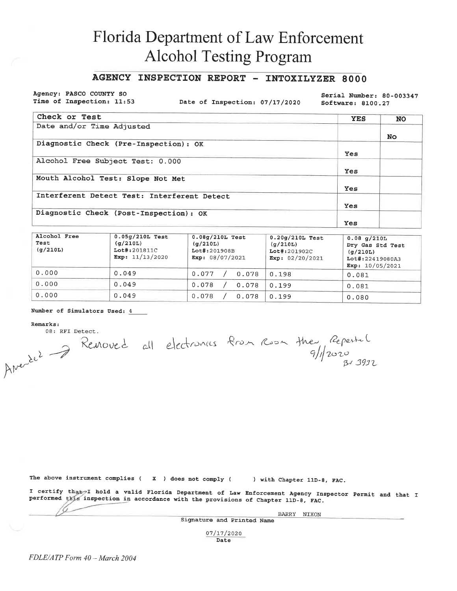## AGENCY INSPECTION REPORT - INTOXILYZER 8000

Agency: PASCO COUNTY SO Time of Inspection: 11:53

Date of Inspection: 07/17/2020

Serial Number: 80-003347 Software: 8100.27

| Check or Test                               | <b>YES</b> | <b>NO</b> |
|---------------------------------------------|------------|-----------|
| Date and/or Time Adjusted                   |            |           |
|                                             |            | No.       |
| Diagnostic Check (Pre-Inspection): OK       |            |           |
|                                             | Yes        |           |
| Alcohol Free Subject Test: 0.000            |            |           |
|                                             | Yes        |           |
| Mouth Alcohol Test: Slope Not Met           |            |           |
|                                             | Yes        |           |
| Interferent Detect Test: Interferent Detect |            |           |
|                                             | Yes        |           |
| Diagnostic Check (Post-Inspection): OK      |            |           |
|                                             | Yes        |           |

| Alcohol Free<br>Test<br>(g/210L) | $0.05g/210L$ Test<br>(q/210L)<br>Lot#:201811C<br>Exp: $11/13/2020$ | $0.08g/210L$ Test<br>(g/210L)<br>Lot#:201908B<br>Exp: $08/07/2021$ | $0.20q/210L$ Test<br>(q/210L)<br>$Lot$ #:201902C<br>Exp: $02/20/2021$ | $0.08$ q/210L<br>Dry Gas Std Test<br>(q/210L)<br>Lot#:22419080A3<br>Exp: $10/05/2021$ |
|----------------------------------|--------------------------------------------------------------------|--------------------------------------------------------------------|-----------------------------------------------------------------------|---------------------------------------------------------------------------------------|
| 0.000                            | 0.049                                                              | 0.077<br>0.078                                                     | 0.198                                                                 | 0.081                                                                                 |
| 0.000                            | 0.049                                                              | 0.078<br>0.078                                                     | 0.199                                                                 | 0.081                                                                                 |
| 0.000                            | 0.049                                                              | 0.078<br>0.078                                                     | 0.199                                                                 | 0.080                                                                                 |

#### Number of Simulators Used: 4

Remarks:

Amerèle 7 Removed all electronnes from Room the Repeated<br>Amerèle 7 Removed all electronnes from Room the Repeated 08: RFI Detect.

The above instrument complies  $(X, X)$  does not comply  $(X, X)$ ) with Chapter 11D-8, FAC.

I certify that I hold a valid Florida Department of Law Enforcement Agency Inspector Permit and that I performed this inspection in accordance with the provisions of Chapter 11D-8, FAC.

Signature and Printed Name

BARRY NIXON

07/17/2020 Date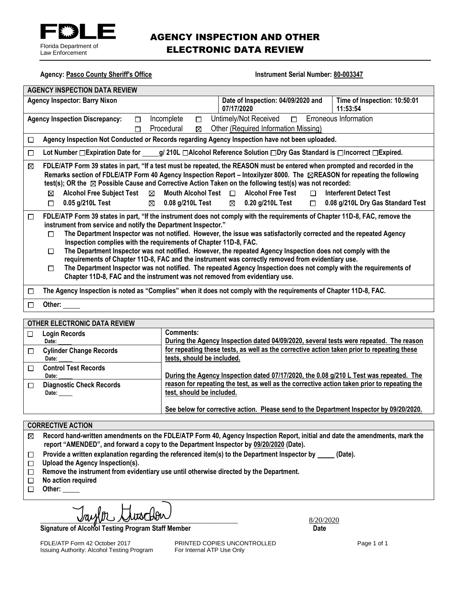

# AGENCY INSPECTION AND OTHER ELECTRONIC DATA REVIEW

| <b>Agency: Pasco County Sheriff's Office</b>                                                                                                                                                                                                                                                                                                                                                                                                                                                                                                                                                                                                                                                                                                                                                                                             | <b>Instrument Serial Number: 80-003347</b>                                                                              |  |  |
|------------------------------------------------------------------------------------------------------------------------------------------------------------------------------------------------------------------------------------------------------------------------------------------------------------------------------------------------------------------------------------------------------------------------------------------------------------------------------------------------------------------------------------------------------------------------------------------------------------------------------------------------------------------------------------------------------------------------------------------------------------------------------------------------------------------------------------------|-------------------------------------------------------------------------------------------------------------------------|--|--|
| <b>AGENCY INSPECTION DATA REVIEW</b>                                                                                                                                                                                                                                                                                                                                                                                                                                                                                                                                                                                                                                                                                                                                                                                                     |                                                                                                                         |  |  |
| <b>Agency Inspector: Barry Nixon</b>                                                                                                                                                                                                                                                                                                                                                                                                                                                                                                                                                                                                                                                                                                                                                                                                     | Date of Inspection: 04/09/2020 and<br>Time of Inspection: 10:50:01<br>07/17/2020<br>11:53:54                            |  |  |
| Incomplete<br><b>Agency Inspection Discrepancy:</b><br>П<br>$\Box$                                                                                                                                                                                                                                                                                                                                                                                                                                                                                                                                                                                                                                                                                                                                                                       |                                                                                                                         |  |  |
| Procedural<br>⊠<br>П                                                                                                                                                                                                                                                                                                                                                                                                                                                                                                                                                                                                                                                                                                                                                                                                                     | Other (Required Information Missing)                                                                                    |  |  |
| Agency Inspection Not Conducted or Records regarding Agency Inspection have not been uploaded.<br>□                                                                                                                                                                                                                                                                                                                                                                                                                                                                                                                                                                                                                                                                                                                                      |                                                                                                                         |  |  |
| □                                                                                                                                                                                                                                                                                                                                                                                                                                                                                                                                                                                                                                                                                                                                                                                                                                        | Lot Number □ Expiration Date for _____g/ 210L □ Alcohol Reference Solution □ Dry Gas Standard is □ Incorrect □ Expired. |  |  |
| FDLE/ATP Form 39 states in part, "If a test must be repeated, the REASON must be entered when prompted and recorded in the<br>⊠<br>Remarks section of FDLE/ATP Form 40 Agency Inspection Report - Intoxilyzer 8000. The <b>EREASON</b> for repeating the following<br>test(s); OR the $\boxtimes$ Possible Cause and Corrective Action Taken on the following test(s) was not recorded:<br><b>Alcohol Free Subject Test</b><br>Mouth Alcohol Test $\Box$ Alcohol Free Test<br>$\boxtimes$<br><b>Interferent Detect Test</b><br>⊠<br>$\Box$<br>$0.05$ g/210L Test<br>$\boxtimes$ 0.08 g/210L Test<br>$\boxtimes$ 0.20 g/210L Test<br>0.08 g/210L Dry Gas Standard Test<br>$\Box$<br>$\Box$                                                                                                                                                |                                                                                                                         |  |  |
| FDLE/ATP Form 39 states in part, "If the instrument does not comply with the requirements of Chapter 11D-8, FAC, remove the<br>$\Box$<br>instrument from service and notify the Department Inspector."<br>The Department Inspector was not notified. However, the issue was satisfactorily corrected and the repeated Agency<br>П<br>Inspection complies with the requirements of Chapter 11D-8, FAC.<br>The Department Inspector was not notified. However, the repeated Agency Inspection does not comply with the<br>П<br>requirements of Chapter 11D-8, FAC and the instrument was correctly removed from evidentiary use.<br>The Department Inspector was not notified. The repeated Agency Inspection does not comply with the requirements of<br>П<br>Chapter 11D-8, FAC and the instrument was not removed from evidentiary use. |                                                                                                                         |  |  |
| $\Box$                                                                                                                                                                                                                                                                                                                                                                                                                                                                                                                                                                                                                                                                                                                                                                                                                                   | The Agency Inspection is noted as "Complies" when it does not comply with the requirements of Chapter 11D-8, FAC.       |  |  |
| Other: $\_\_$<br>П                                                                                                                                                                                                                                                                                                                                                                                                                                                                                                                                                                                                                                                                                                                                                                                                                       |                                                                                                                         |  |  |

#### **OTHER ELECTRONIC DATA REVIEW Comments: Login Records**  $\Box$ **During the Agency Inspection dated 04/09/2020, several tests were repeated. The reason Date: for repeating these tests, as well as the corrective action taken prior to repeating these Cylinder Change Records**  $\Box$ **tests, should be included. Date: Control Test Records**  $\Box$ **During the Agency Inspection dated 07/17/2020, the 0.08 g/210 L Test was repeated. The Date: reason for repeating the test, as well as the corrective action taken prior to repeating the**   $\Box$ **Diagnostic Check Records test, should be included. Date: See below for corrective action. Please send to the Department Inspector by 09/20/2020.**

### **CORRECTIVE ACTION**

| $\boxtimes$ Record hand-written amendments on the FDLE/ATP Form 40, Agency Inspection Report, initial and date the amendments, mark the |
|-----------------------------------------------------------------------------------------------------------------------------------------|
| report "AMENDED", and forward a copy to the Department Inspector by 09/20/2020 (Date).                                                  |

- Provide a written explanation regarding the referenced item(s) to the Department Inspector by \_\_\_\_\_ (Date).  $\Box$
- **Upload the Agency Inspection(s).**
- **Remove the instrument from evidentiary use until otherwise directed by the Department.**
- $\Box$  **No action required**
- **Other:**

 $\mathcal{D}\subset\mathcal{D}$ urschber

Signature of Alcohol Testing Program Staff Member **Date 19th Contact Contact Contact Contact Contact Contact Contact Contact Contact Contact Contact Contact Contact Contact Contact Contact Contact Contact Contact Contact C** 

FDLE/ATP Form 42 October 2017 **PRINTED COPIES UNCONTROLLED** Page 1 of 1<br>
Issuing Authority: Alcohol Testing Program For Internal ATP Use Only Issuing Authority: Alcohol Testing Program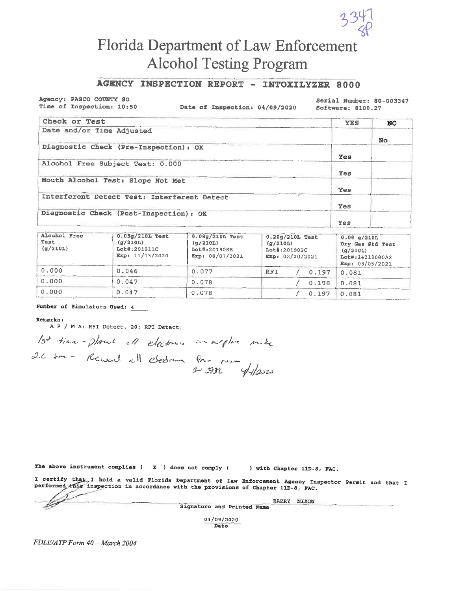

## AGENCY INSPECTION REPORT - INTOXILYZER 8000

Agency: PASCO COUNTY SO Time of Inspection: 10:50

Date of Inspection: 04/09/2020

Serial Number: 80-003347 Software: 8100.27

| Check or Test                               | <b>YES</b> | <b>NO</b> |
|---------------------------------------------|------------|-----------|
| Date and/or Time Adjusted                   |            |           |
|                                             |            | <b>No</b> |
| Diagnostic Check (Pre-Inspection): OK       |            |           |
|                                             | Yes        |           |
| Alcohol Free Subject Test: 0.000            |            |           |
|                                             | Yes        |           |
| Mouth Alcohol Test: Slope Not Met           |            |           |
|                                             | Yes        |           |
| Interferent Detect Test: Interferent Detect |            |           |
|                                             | Yes        |           |
| Diagnostic Check (Post-Inspection): OK      |            |           |
|                                             | Yes        |           |

| Alcohol Free<br>Test<br>(g/210L) | $0.05q/210L$ Test<br>(q/210L)<br>Lot#:201811C<br>Exp: $11/13/2020$ | 0.08g/210L Test<br>$0.20g/210L$ Test<br>(q/210L)<br>(q/210L)<br>Lot#:201908B<br>Lot#:201902C<br>Exp: $08/07/2021$<br>Exp: 02/20/2021 |                     | 0.08 q/210L<br>Dry Gas Std Test<br>(q/210L)<br>Lot#:14219080A2<br>Exp: 08/05/2021 |
|----------------------------------|--------------------------------------------------------------------|--------------------------------------------------------------------------------------------------------------------------------------|---------------------|-----------------------------------------------------------------------------------|
| 0.000                            | 0.046                                                              | 0.077                                                                                                                                | <b>RFT</b><br>0.197 | 0.081                                                                             |
| 0.000                            | 0.047                                                              | 0.078                                                                                                                                | 0.198               | 0.081                                                                             |
| 0.000                            | 0.047                                                              | 0.078                                                                                                                                | 0.197               | 0.081                                                                             |

#### Number of Simulators Used: 4

#### Remarks:

A F / M A: RFI Detect. 20: RFI Detect.

15<sup>4</sup> time-plant ell electrons an argler mile

The above instrument complies ( $\mathbf{x}$ ) does not comply ( ) with Chapter 11D-8, FAC.

I certify that I hold a valid Florida Department of Law Enforcement Agency Inspector Permit and that I performed this inspection in accordance with the provisions of Chapter 11D-8, FAC.

BARRY NIXON Signature and Printed Name 04/09/2020

Date